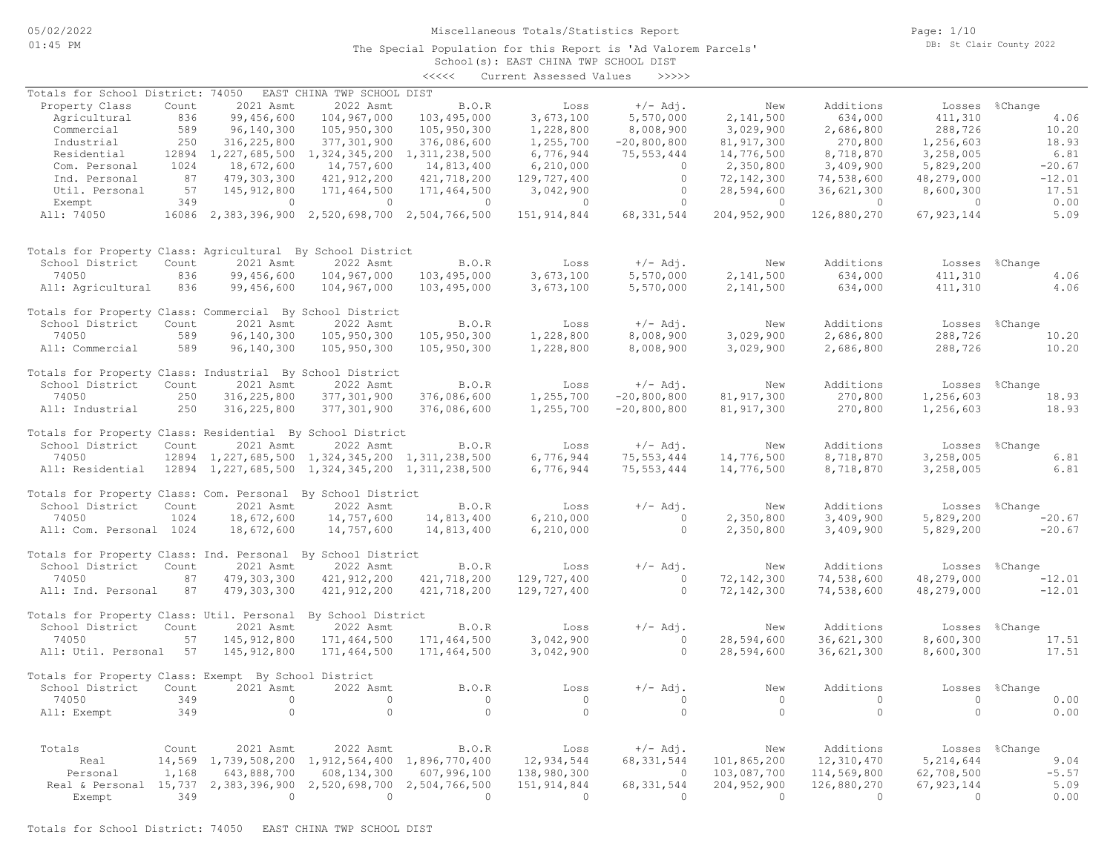### Miscellaneous Totals/Statistics Report

The Special Population for this Report is 'Ad Valorem Parcels'

Page: 1/10 DB: St Clair County 2022

# School(s): EAST CHINA TWP SCHOOL DIST <<<<< Current Assessed Values >>>>>

| Totals for School District: 74050                                         |       |                                                                                                                                                                                                                                                                                | EAST CHINA TWP SCHOOL DIST                                    |                             |                |                                       |                |                |                |                |
|---------------------------------------------------------------------------|-------|--------------------------------------------------------------------------------------------------------------------------------------------------------------------------------------------------------------------------------------------------------------------------------|---------------------------------------------------------------|-----------------------------|----------------|---------------------------------------|----------------|----------------|----------------|----------------|
| Property Class                                                            | Count | 2021 Asmt                                                                                                                                                                                                                                                                      | 2022 Asmt                                                     | <b>B.O.R</b>                | Loss           | +/- Adj.                              | New            | Additions      | Losses %Change |                |
| Agricultural                                                              | 836   | 99,456,600                                                                                                                                                                                                                                                                     | 104,967,000                                                   | 103,495,000                 | 3,673,100      | 5,570,000                             | 2,141,500      | 634,000        | 411,310        | 4.06           |
| Commercial                                                                | 589   | 96,140,300                                                                                                                                                                                                                                                                     | 105,950,300                                                   | 105,950,300                 | 1,228,800      | 8,008,900                             | 3,029,900      | 2,686,800      | 288,726        | 10.20          |
| Industrial                                                                | 250   | 316,225,800                                                                                                                                                                                                                                                                    | 377,301,900                                                   | 376,086,600                 | 1,255,700      | $-20,800,800$                         | 81, 917, 300   | 270,800        | 1,256,603      | 18.93          |
| Residential                                                               |       | 12894 1,227,685,500                                                                                                                                                                                                                                                            | 1, 324, 345, 200 1, 311, 238, 500                             |                             | 6,776,944      | 75, 553, 444                          | 14,776,500     | 8,718,870      | 3,258,005      | 6.81           |
| Com. Personal                                                             | 1024  | 18,672,600                                                                                                                                                                                                                                                                     | 14,757,600                                                    | 14,813,400                  | 6,210,000      | $\overline{0}$                        | 2,350,800      | 3,409,900      | 5,829,200      | $-20.67$       |
| Ind. Personal                                                             | 87    | 479,303,300                                                                                                                                                                                                                                                                    | 421, 912, 200                                                 | 421,718,200                 | 129,727,400    | $\overline{0}$                        | 72, 142, 300   | 74,538,600     | 48,279,000     | $-12.01$       |
| Util. Personal                                                            | 57    | 145, 912, 800                                                                                                                                                                                                                                                                  | 171,464,500                                                   | 171,464,500                 | 3,042,900      |                                       | 28,594,600     | 36,621,300     | 8,600,300      | 17.51          |
| Exempt                                                                    | 349   | $\sim$ 000 $\sim$ 000 $\sim$ 000 $\sim$ 000 $\sim$ 000 $\sim$ 000 $\sim$ 000 $\sim$ 000 $\sim$ 000 $\sim$ 000 $\sim$ 000 $\sim$ 000 $\sim$ 000 $\sim$ 000 $\sim$ 000 $\sim$ 000 $\sim$ 000 $\sim$ 000 $\sim$ 000 $\sim$ 000 $\sim$ 000 $\sim$ 000 $\sim$ 000 $\sim$ 000 $\sim$ | $\sim$ 000 $\sim$ 000 $\sim$ 000 $\sim$ 000 $\sim$ 000 $\sim$ | $\sim$ 0                    | $\sim$ 0       | $\begin{array}{c} 0 \\ 0 \end{array}$ | $\sim$ 0       | $\sim$ 0       | $\sim$ 0       | 0.00           |
| All: 74050                                                                |       |                                                                                                                                                                                                                                                                                | 16086 2,383,396,900 2,520,698,700 2,504,766,500               |                             | 151, 914, 844  | 68, 331, 544                          | 204,952,900    | 126,880,270    | 67, 923, 144   | 5.09           |
|                                                                           |       |                                                                                                                                                                                                                                                                                |                                                               |                             |                |                                       |                |                |                |                |
| Totals for Property Class: Agricultural By School District                |       |                                                                                                                                                                                                                                                                                |                                                               |                             |                |                                       |                |                |                |                |
| School District                                                           | Count | 2021 Asmt                                                                                                                                                                                                                                                                      | 2022 Asmt                                                     | B.O.R                       | Loss           | $+/-$ Adj.                            | New            | Additions      |                | Losses %Change |
| 74050                                                                     | 836   | 99,456,600                                                                                                                                                                                                                                                                     | 104,967,000                                                   | 103,495,000                 | 3,673,100      | 5,570,000                             | 2,141,500      | 634,000        | 411,310        | 4.06           |
| All: Agricultural                                                         | 836   | 99,456,600                                                                                                                                                                                                                                                                     | 104,967,000                                                   | 103,495,000                 | 3,673,100      | 5,570,000                             | 2,141,500      | 634,000        | 411,310        | 4.06           |
| Totals for Property Class: Commercial By School District                  |       |                                                                                                                                                                                                                                                                                |                                                               |                             |                |                                       |                |                |                |                |
| School District                                                           | Count | 2021 Asmt                                                                                                                                                                                                                                                                      | 2022 Asmt                                                     | B.O.R                       | Loss           | $+/-$ Adj.                            | New            | Additions      | Losses %Change |                |
| 74050                                                                     | 589   | 96,140,300                                                                                                                                                                                                                                                                     | 105,950,300                                                   | 105,950,300                 | 1,228,800      | 8,008,900                             | 3,029,900      | 2,686,800      | 288,726        | 10.20          |
| All: Commercial                                                           | 589   | 96,140,300                                                                                                                                                                                                                                                                     | 105,950,300                                                   | 105,950,300                 | 1,228,800      | 8,008,900                             | 3,029,900      | 2,686,800      | 288,726        | 10.20          |
| Totals for Property Class: Industrial By School District                  |       |                                                                                                                                                                                                                                                                                |                                                               |                             |                |                                       |                |                |                |                |
| School District                                                           | Count | 2021 Asmt                                                                                                                                                                                                                                                                      | 2022 Asmt                                                     | B.O.R                       | Loss           | $+/-$ Adi.                            | New            | Additions      |                | Losses %Change |
| 74050                                                                     | 250   | 316,225,800                                                                                                                                                                                                                                                                    | 377, 301, 900                                                 | 376,086,600                 | 1,255,700      | $-20,800,800$                         | 81, 917, 300   | 270,800        | 1,256,603      | 18.93          |
| All: Industrial 250                                                       |       | 316,225,800                                                                                                                                                                                                                                                                    | 377,301,900                                                   | 376,086,600                 | 1,255,700      | $-20,800,800$                         | 81, 917, 300   | 270,800        | 1,256,603      | 18.93          |
| Totals for Property Class: Residential By School District                 |       |                                                                                                                                                                                                                                                                                |                                                               |                             |                |                                       |                |                |                |                |
| School District                                                           | Count | 2021 Asmt                                                                                                                                                                                                                                                                      | 2022 Asmt                                                     | B.O.R                       | Loss           | $+/-$ Adj.                            | New            | Additions      | Losses %Change |                |
| 74050                                                                     |       |                                                                                                                                                                                                                                                                                | 12894 1, 227, 685, 500 1, 324, 345, 200 1, 311, 238, 500      |                             | 6,776,944      | 75, 553, 444                          | 14,776,500     | 8,718,870      | 3,258,005      | 6.81           |
| All: Residential 12894 1, 227, 685, 500 1, 324, 345, 200 1, 311, 238, 500 |       |                                                                                                                                                                                                                                                                                |                                                               |                             | 6,776,944      | 75, 553, 444                          | 14,776,500     | 8,718,870      | 3,258,005      | 6.81           |
|                                                                           |       |                                                                                                                                                                                                                                                                                |                                                               |                             |                |                                       |                |                |                |                |
| Totals for Property Class: Com. Personal By School District               |       |                                                                                                                                                                                                                                                                                |                                                               |                             |                |                                       |                |                |                |                |
| School District                                                           | Count | 2021 Asmt                                                                                                                                                                                                                                                                      | 2022 Asmt                                                     | B.O.R                       | Loss           | $+/-$ Adj.                            | New            | Additions      |                | Losses %Change |
| 74050                                                                     | 1024  | 18,672,600                                                                                                                                                                                                                                                                     | 14,757,600                                                    | 14,813,400                  | 6, 210, 000    | $\overline{0}$                        | 2,350,800      | 3,409,900      | 5,829,200      | $-20.67$       |
| All: Com. Personal 1024                                                   |       | 18,672,600                                                                                                                                                                                                                                                                     | 14,757,600                                                    | 14,813,400                  | 6,210,000      | $\overline{0}$                        | 2,350,800      | 3,409,900      | 5,829,200      | $-20.67$       |
| Totals for Property Class: Ind. Personal By School District               |       |                                                                                                                                                                                                                                                                                |                                                               |                             |                |                                       |                |                |                |                |
| School District                                                           | Count | 2021 Asmt                                                                                                                                                                                                                                                                      | 2022 Asmt                                                     | B.O.R                       | Loss           | $+/-$ Adj.                            | New            | Additions      |                | Losses %Change |
|                                                                           |       |                                                                                                                                                                                                                                                                                |                                                               |                             |                |                                       |                |                |                |                |
| 74050                                                                     | 87    | 479,303,300                                                                                                                                                                                                                                                                    | 421, 912, 200                                                 | 421,718,200                 | 129,727,400    | $\overline{0}$                        | 72,142,300     | 74,538,600     | 48,279,000     | $-12.01$       |
| All: Ind. Personal                                                        | 87    | 479,303,300                                                                                                                                                                                                                                                                    | 421, 912, 200                                                 | 421,718,200                 | 129,727,400    | $\bigcirc$                            | 72,142,300     | 74,538,600     | 48,279,000     | $-12.01$       |
| Totals for Property Class: Util. Personal By School District              |       |                                                                                                                                                                                                                                                                                |                                                               |                             |                |                                       |                |                |                |                |
| School District                                                           | Count | 2021 Asmt                                                                                                                                                                                                                                                                      | 2022 Asmt                                                     | B.O.R                       | Loss           | $+/-$ Adj.                            | New            | Additions      | Losses %Change |                |
| 74050                                                                     | 57    | 145, 912, 800                                                                                                                                                                                                                                                                  | 171,464,500                                                   | 171,464,500                 | 3,042,900      | $\sim$ 0                              | 28,594,600     | 36,621,300     | 8,600,300      | 17.51          |
| All: Util. Personal 57                                                    |       | 145, 912, 800                                                                                                                                                                                                                                                                  | 171,464,500                                                   | 171,464,500                 | 3,042,900      | $\Omega$                              | 28,594,600     | 36,621,300     | 8,600,300      | 17.51          |
| Totals for Property Class: Exempt By School District                      |       |                                                                                                                                                                                                                                                                                |                                                               |                             |                |                                       |                |                |                |                |
| School District                                                           | Count | 2021 Asmt                                                                                                                                                                                                                                                                      | 2022 Asmt                                                     | B.0. R                      | Loss           | $+/-$ Adj.                            | New            | Additions      | Losses         | %Change        |
| 74050                                                                     | 349   | $\overline{0}$                                                                                                                                                                                                                                                                 | $\sim$ 0                                                      | $\overline{0}$              | $\overline{0}$ | $\overline{0}$                        | $\overline{0}$ | $\overline{0}$ | $\overline{0}$ | 0.00           |
| All: Exempt                                                               | 349   | $\overline{0}$                                                                                                                                                                                                                                                                 | $\Omega$                                                      | $\bigcirc$                  | $\overline{0}$ | $\Omega$                              | $\bigcirc$     | $\overline{0}$ | $\Omega$       | 0.00           |
|                                                                           |       |                                                                                                                                                                                                                                                                                |                                                               |                             |                |                                       |                |                |                |                |
| Totals                                                                    | Count | 2021 Asmt                                                                                                                                                                                                                                                                      | 2022 Asmt                                                     | B.O.R                       | Loss           | $+/-$ Adj.                            | New            | Additions      |                | Losses %Change |
| Real                                                                      |       |                                                                                                                                                                                                                                                                                | 14,569 1,739,508,200 1,912,564,400 1,896,770,400              |                             | 12,934,544     | 68, 331, 544                          | 101,865,200    | 12,310,470     | 5, 214, 644    | 9.04           |
| Personal                                                                  | 1,168 | 643,888,700                                                                                                                                                                                                                                                                    | 608, 134, 300                                                 | 607,996,100                 | 138,980,300    | $\sim$ 0                              | 103,087,700    | 114,569,800    | 62,708,500     | $-5.57$        |
| Real & Personal 15,737 2,383,396,900                                      |       |                                                                                                                                                                                                                                                                                |                                                               | 2,520,698,700 2,504,766,500 | 151, 914, 844  | 68, 331, 544                          | 204,952,900    | 126,880,270    | 67, 923, 144   | 5.09           |
|                                                                           | 349   | $\sim$ 0                                                                                                                                                                                                                                                                       | $\sim$ 0                                                      | $\sim$ 0                    | $\overline{0}$ | $\overline{0}$                        | $\sim$ 0       | $\sim$ 0       | $\overline{a}$ | 0.00           |
| Exempt                                                                    |       |                                                                                                                                                                                                                                                                                |                                                               |                             |                |                                       |                |                |                |                |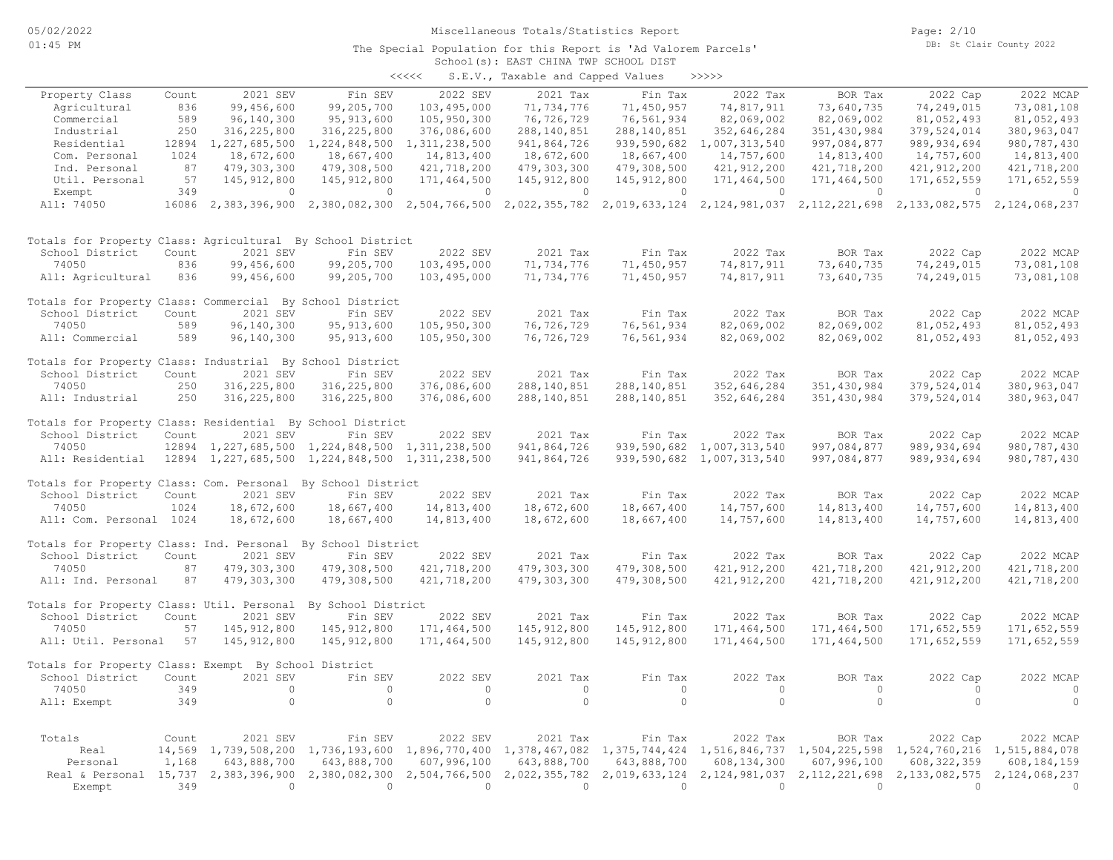#### School(s): EAST CHINA TWP SCHOOL DIST The Special Population for this Report is 'Ad Valorem Parcels'

|       | DUNCUL (U) . ENDI UNIMI INI DUNCU DIDI |  |       |  |
|-------|----------------------------------------|--|-------|--|
| くくくくく | S.E.V., Taxable and Capped Values      |  | >>>>> |  |

| Property Class                                              | Count           | 2021 SEV                               | Fin SEV                           | 2022 SEV                  | 2021 Tax                  | Fin Tax                                                                                        | 2022 Tax                  | BOR Tax                  | 2022 Cap                  | 2022 MCAP                  |
|-------------------------------------------------------------|-----------------|----------------------------------------|-----------------------------------|---------------------------|---------------------------|------------------------------------------------------------------------------------------------|---------------------------|--------------------------|---------------------------|----------------------------|
| Agricultural                                                | 836             | 99,456,600                             | 99,205,700                        | 103,495,000               | 71,734,776                | 71,450,957                                                                                     | 74,817,911                | 73,640,735               | 74,249,015                | 73,081,108                 |
| Commercial                                                  | 589             | 96,140,300                             | 95, 913, 600                      | 105,950,300               | 76,726,729                | 76,561,934                                                                                     | 82,069,002                | 82,069,002               | 81,052,493                | 81,052,493                 |
| Industrial                                                  | 250             | 316,225,800                            | 316, 225, 800                     | 376,086,600               | 288, 140, 851             | 288, 140, 851                                                                                  | 352,646,284               | 351,430,984              | 379,524,014               | 380, 963, 047              |
| Residential                                                 | 12894           | 1,227,685,500                          | 1,224,848,500                     | 1, 311, 238, 500          | 941,864,726               | 939,590,682                                                                                    | 1,007,313,540             | 997,084,877              | 989, 934, 694             | 980, 787, 430              |
| Com. Personal                                               | 1024            | 18,672,600                             | 18,667,400                        | 14,813,400                | 18,672,600                | 18,667,400                                                                                     | 14,757,600                | 14,813,400               | 14,757,600                | 14,813,400                 |
| Ind. Personal                                               | 87              | 479,303,300                            | 479,308,500                       | 421,718,200               | 479,303,300               | 479,308,500                                                                                    | 421, 912, 200             | 421,718,200              | 421, 912, 200             | 421,718,200                |
| Util. Personal                                              | 57              | 145, 912, 800                          | 145, 912, 800                     | 171,464,500               | 145, 912, 800             | 145, 912, 800                                                                                  | 171,464,500               | 171,464,500              | 171,652,559               | 171,652,559                |
| Exempt<br>All: 74050                                        | 349             | 0<br>16086 2,383,396,900 2,380,082,300 | $\circ$                           | $\circ$                   | $\circ$                   | $\circ$<br>2,504,766,500 2,022,355,782 2,019,633,124 2,124,981,037 2,112,221,698 2,133,082,575 | 0                         | $\circ$                  | $\circ$                   | $\circ$<br>2,124,068,237   |
|                                                             |                 |                                        |                                   |                           |                           |                                                                                                |                           |                          |                           |                            |
| Totals for Property Class: Agricultural By School District  |                 |                                        |                                   |                           |                           |                                                                                                |                           |                          |                           |                            |
| School District                                             | Count           | 2021 SEV                               | Fin SEV                           | 2022 SEV                  | 2021 Tax                  | Fin Tax                                                                                        | 2022 Tax                  | BOR Tax                  | 2022 Cap                  | 2022 MCAP                  |
| 74050                                                       | 836             | 99,456,600                             | 99,205,700                        | 103,495,000               | 71,734,776                | 71,450,957                                                                                     | 74,817,911                | 73,640,735               | 74,249,015                | 73,081,108                 |
| All: Agricultural                                           | 836             | 99,456,600                             | 99,205,700                        | 103,495,000               | 71,734,776                | 71,450,957                                                                                     | 74,817,911                | 73,640,735               | 74,249,015                | 73,081,108                 |
| Totals for Property Class: Commercial By School District    |                 |                                        |                                   |                           |                           |                                                                                                |                           |                          |                           |                            |
| School District                                             | Count           | 2021 SEV                               | Fin SEV                           | 2022 SEV                  | 2021 Tax                  | Fin Tax                                                                                        | 2022 Tax                  | BOR Tax                  | 2022 Cap                  | 2022 MCAP                  |
| 74050                                                       | 589             | 96,140,300                             | 95, 913, 600                      | 105,950,300               | 76,726,729                | 76,561,934                                                                                     | 82,069,002                | 82,069,002               | 81,052,493                | 81,052,493                 |
| All: Commercial                                             | 589             | 96,140,300                             | 95, 913, 600                      | 105,950,300               | 76,726,729                | 76,561,934                                                                                     | 82,069,002                | 82,069,002               | 81,052,493                | 81,052,493                 |
| Totals for Property Class: Industrial By School District    |                 |                                        |                                   |                           |                           |                                                                                                |                           |                          |                           |                            |
| School District                                             | Count           | 2021 SEV                               | Fin SEV                           | 2022 SEV                  | 2021 Tax                  | Fin Tax                                                                                        | 2022 Tax                  | BOR Tax                  | 2022 Cap                  | 2022 MCAP                  |
| 74050                                                       | 250             | 316,225,800                            | 316, 225, 800                     | 376,086,600               | 288,140,851               | 288,140,851                                                                                    | 352,646,284               | 351,430,984              | 379,524,014               | 380, 963, 047              |
| All: Industrial                                             | 250             | 316,225,800                            | 316,225,800                       | 376,086,600               | 288,140,851               | 288,140,851                                                                                    | 352,646,284               | 351,430,984              | 379,524,014               | 380, 963, 047              |
| Totals for Property Class: Residential By School District   |                 |                                        |                                   |                           |                           |                                                                                                |                           |                          |                           |                            |
| School District                                             | Count           | 2021 SEV                               | Fin SEV                           | 2022 SEV                  | 2021 Tax                  | Fin Tax                                                                                        | 2022 Tax                  | BOR Tax                  | 2022 Cap                  | 2022 MCAP                  |
| 74050                                                       | 12894           |                                        | 1,227,685,500 1,224,848,500       | 1,311,238,500             | 941,864,726               | 939,590,682                                                                                    | 1,007,313,540             | 997,084,877              | 989, 934, 694             | 980, 787, 430              |
| All: Residential                                            | 12894           |                                        | 1, 227, 685, 500 1, 224, 848, 500 | 1,311,238,500             | 941,864,726               | 939,590,682                                                                                    | 1,007,313,540             | 997,084,877              | 989, 934, 694             | 980, 787, 430              |
| Totals for Property Class: Com. Personal By School District |                 |                                        |                                   |                           |                           |                                                                                                |                           |                          |                           |                            |
| School District                                             | Count           | 2021 SEV                               | Fin SEV                           | 2022 SEV                  | 2021 Tax                  | Fin Tax                                                                                        | 2022 Tax                  | BOR Tax                  | 2022 Cap                  | 2022 MCAP                  |
| 74050                                                       | 1024            | 18,672,600                             | 18,667,400                        | 14,813,400                | 18,672,600                | 18,667,400                                                                                     | 14,757,600                | 14,813,400               | 14,757,600                | 14,813,400                 |
| All: Com. Personal 1024                                     |                 | 18,672,600                             | 18,667,400                        | 14,813,400                | 18,672,600                | 18,667,400                                                                                     | 14,757,600                | 14,813,400               | 14,757,600                | 14,813,400                 |
| Totals for Property Class: Ind. Personal By School District |                 |                                        |                                   |                           |                           |                                                                                                |                           |                          |                           |                            |
| School District                                             | Count           | 2021 SEV                               | Fin SEV                           | 2022 SEV                  | 2021 Tax                  | Fin Tax                                                                                        | 2022 Tax                  | BOR Tax                  | 2022 Cap                  | 2022 MCAP                  |
| 74050                                                       | 87              | 479,303,300                            | 479,308,500                       | 421,718,200               | 479,303,300               | 479,308,500                                                                                    | 421, 912, 200             | 421,718,200              | 421, 912, 200             | 421,718,200                |
| All: Ind. Personal                                          | 87              | 479,303,300                            | 479,308,500                       | 421,718,200               | 479,303,300               | 479,308,500                                                                                    | 421,912,200               | 421,718,200              | 421, 912, 200             | 421,718,200                |
| Totals for Property Class: Util. Personal                   |                 |                                        | By School District                |                           |                           |                                                                                                |                           |                          |                           |                            |
| School District                                             | Count           | 2021 SEV                               | Fin SEV                           | 2022 SEV                  | 2021 Tax                  | Fin Tax                                                                                        | 2022 Tax                  | BOR Tax                  | 2022 Cap                  | 2022 MCAP                  |
| 74050                                                       | 57              | 145, 912, 800                          | 145,912,800                       | 171,464,500               | 145,912,800               | 145, 912, 800                                                                                  | 171,464,500               | 171,464,500              | 171,652,559               | 171,652,559                |
| All: Util. Personal                                         | 57              | 145, 912, 800                          | 145, 912, 800                     | 171,464,500               | 145, 912, 800             | 145, 912, 800                                                                                  | 171,464,500               | 171,464,500              | 171,652,559               | 171,652,559                |
| Totals for Property Class: Exempt By School District        |                 |                                        |                                   |                           |                           |                                                                                                |                           |                          |                           |                            |
| School District                                             | Count           | 2021 SEV                               | Fin SEV                           | 2022 SEV                  | 2021 Tax                  | Fin Tax                                                                                        | 2022 Tax                  | BOR Tax                  | 2022 Cap                  | 2022 MCAP                  |
| 74050                                                       | 349             | $\circ$                                | $\circ$                           | $\circ$                   | $\circ$                   | $\circ$                                                                                        | $\circ$                   | $\circ$                  | $\circ$                   | 0                          |
| All: Exempt                                                 | 349             | $\circ$                                | $\circ$                           | $\circ$                   | $\circ$                   | $\circ$                                                                                        | $\circ$                   | $\circ$                  | $\circ$                   | $\circ$                    |
|                                                             |                 |                                        |                                   |                           |                           |                                                                                                |                           |                          |                           |                            |
| Totals<br>Real                                              | Count<br>14,569 | 2021 SEV<br>1,739,508,200              | Fin SEV<br>1,736,193,600          | 2022 SEV<br>1,896,770,400 | 2021 Tax<br>1,378,467,082 | Fin Tax<br>1,375,744,424                                                                       | 2022 Tax<br>1,516,846,737 | BOR Tax<br>1,504,225,598 | 2022 Cap<br>1,524,760,216 | 2022 MCAP<br>1,515,884,078 |
| Personal                                                    | 1,168           | 643,888,700                            | 643,888,700                       | 607,996,100               | 643,888,700               | 643,888,700                                                                                    | 608, 134, 300             | 607,996,100              | 608, 322, 359             | 608,184,159                |
| Real & Personal 15,737 2,383,396,900                        |                 |                                        | 2,380,082,300                     | 2,504,766,500             | 2,022,355,782             | 2,019,633,124                                                                                  | 2,124,981,037             | 2,112,221,698            | 2,133,082,575             | 2,124,068,237              |
| Exempt                                                      | 349             | $\Omega$                               | $\overline{0}$                    | $\Omega$                  | $\Omega$                  | $\Omega$                                                                                       | $\Omega$                  | $\Omega$                 | $\Omega$                  | $\Omega$                   |
|                                                             |                 |                                        |                                   |                           |                           |                                                                                                |                           |                          |                           |                            |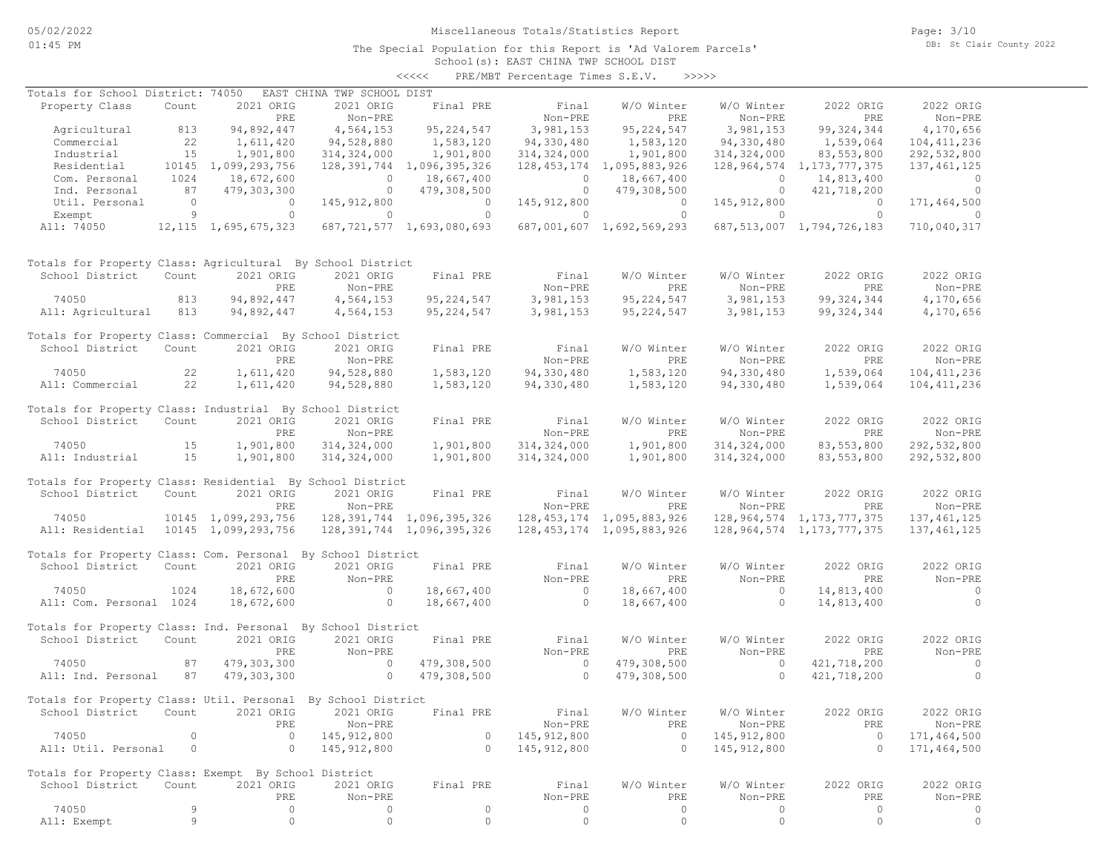## Miscellaneous Totals/Statistics Report

Page: 3/10 DB: St Clair County 2022

#### School(s): EAST CHINA TWP SCHOOL DIST <<<<< PRE/MBT Percentage Times S.E.V. >>>>>

| Totals for School District: 74050                            |                                         |                                                 | EAST CHINA TWP SCHOOL DIST            |                                         |                                                           |                                |                          |                                                                               |                |
|--------------------------------------------------------------|-----------------------------------------|-------------------------------------------------|---------------------------------------|-----------------------------------------|-----------------------------------------------------------|--------------------------------|--------------------------|-------------------------------------------------------------------------------|----------------|
| Property Class                                               | Count                                   | 2021 ORIG                                       | 2021 ORIG                             |                                         | Final PRE Final                                           | W/O Winter                     | W/O Winter               | 2022 ORIG                                                                     | 2022 ORIG      |
|                                                              |                                         | PRE                                             | Non-PRE                               |                                         | Non-PRE                                                   | PRE                            | Non-PRE                  | PRE                                                                           | Non-PRE        |
| Agricultural                                                 | 813                                     | 94,892,447                                      | 4,564,153                             | 95, 224, 547                            | 3,981,153                                                 | 95, 224, 547                   | 3,981,153                | 99, 324, 344                                                                  | 4,170,656      |
| Commercial                                                   | $\begin{array}{c} 22 \\ 15 \end{array}$ | 1,611,420                                       | 94,528,880                            | 1,583,120<br>1,901,800                  | 94,330,480                                                | 1,583,120                      | 94,330,480               | 1,539,064                                                                     | 104, 411, 236  |
| Industrial                                                   |                                         | 1,901,800                                       | 314,324,000                           |                                         | 314, 324, 000                                             | 1,901,800                      | 314,324,000              | 83,553,800                                                                    | 292,532,800    |
| Residential                                                  |                                         | 10145 1,099,293,756                             |                                       | 128, 391, 744 1, 096, 395, 326          |                                                           | 128, 453, 174 1, 095, 883, 926 |                          | 128, 964, 574 1, 173, 777, 375                                                | 137, 461, 125  |
| Com. Personal                                                | 1024                                    | 18,672,600                                      |                                       |                                         |                                                           | 18,667,400                     |                          |                                                                               | $\overline{a}$ |
| Ind. Personal                                                | 87                                      | 479,303,300                                     |                                       | $0$ 18,667,400<br>0 479,308,500         | $\begin{array}{c} 0 \\ 0 \end{array}$                     | 479,308,500                    |                          | $0$ $14,813,400$<br>$0$ $421,718,200$                                         | $\sim$ 0       |
| Util. Personal                                               |                                         |                                                 | 145,912,800                           |                                         | 145, 912, 800                                             | $\overline{0}$                 | 145, 912, 800            | $\sim$ 0                                                                      | 171,464,500    |
| Exempt                                                       |                                         | $\begin{array}{ccc} 0 & 0 \\ 9 & 0 \end{array}$ | $\sim$ 0 $\sim$ 0 $\sim$              | $\begin{array}{c}\n0 \\ 0\n\end{array}$ | $\sim$ 0 $\sim$ 0 $\sim$ 0                                |                                |                          | $\overline{0}$                                                                | $\sim$ 0       |
|                                                              |                                         |                                                 |                                       |                                         |                                                           | 687,001,607 1,692,569,293      |                          |                                                                               |                |
| All: 74050 12, 115 1, 695, 675, 323                          |                                         |                                                 |                                       | 687,721,577 1,693,080,693               |                                                           |                                |                          | 687, 513, 007 1, 794, 726, 183                                                | 710,040,317    |
| Totals for Property Class: Agricultural By School District   |                                         |                                                 |                                       |                                         |                                                           |                                |                          |                                                                               |                |
| School District                                              | Count                                   | 2021 ORIG                                       | 2021 ORIG                             | Final PRE                               | Final                                                     | W/O Winter                     | W/O Winter               | 2022 ORIG                                                                     | 2022 ORIG      |
|                                                              |                                         | PRE                                             | Non-PRE                               |                                         | Non-PRE                                                   | PRE                            | Non-PRE                  | PRE                                                                           | Non-PRE        |
| 74050                                                        | 813                                     | 94,892,447                                      | 4,564,153                             |                                         | 95, 224, 547 3, 981, 153                                  |                                | 95, 224, 547 3, 981, 153 | 99, 324, 344                                                                  | 4,170,656      |
| All: Agricultural                                            | 813                                     | 94,892,447                                      | 4,564,153                             |                                         | 95, 224, 547 3, 981, 153                                  |                                | 95, 224, 547 3, 981, 153 | 99,324,344                                                                    | 4,170,656      |
|                                                              |                                         |                                                 |                                       |                                         |                                                           |                                |                          |                                                                               |                |
| Totals for Property Class: Commercial By School District     |                                         |                                                 |                                       |                                         |                                                           |                                |                          |                                                                               |                |
| School District                                              | Count                                   | 2021 ORIG                                       | 2021 ORIG                             | Final PRE                               | Final                                                     | W/O Winter                     | W/O Winter               | 2022 ORIG                                                                     | 2022 ORIG      |
|                                                              |                                         | PRE                                             | Non-PRE                               |                                         | Non-PRE                                                   | PRE                            | Non-PRE                  | PRE                                                                           | Non-PRE        |
| 22<br>74050                                                  |                                         | 1,611,420                                       | 94,528,880                            | 1,583,120                               | 94,330,480                                                | 1,583,120                      | 94,330,480               | 1,539,064                                                                     | 104, 411, 236  |
| All: Commercial 22                                           |                                         | 1,611,420                                       | 94,528,880                            | 1,583,120                               | 94,330,480                                                | 1,583,120                      | 94,330,480               | 1,539,064                                                                     | 104, 411, 236  |
|                                                              |                                         |                                                 |                                       |                                         |                                                           |                                |                          |                                                                               |                |
| Totals for Property Class: Industrial By School District     |                                         |                                                 |                                       |                                         |                                                           |                                |                          |                                                                               |                |
| School District                                              | Count                                   | 2021 ORIG                                       | 2021 ORIG                             | Final PRE                               | Final                                                     | W/O Winter                     | W/O Winter               | 2022 ORIG                                                                     | 2022 ORIG      |
|                                                              |                                         | PRE                                             | Non-PRE                               |                                         | Non-PRE                                                   | PRE                            | Non-PRE                  | PRE                                                                           | Non-PRE        |
| 74050                                                        | 15                                      | 1,901,800                                       | 314,324,000                           |                                         | 1,901,800 314,324,000                                     | 1,901,800                      | 314,324,000              | 83,553,800                                                                    | 292,532,800    |
|                                                              |                                         | 1,901,800                                       |                                       |                                         |                                                           |                                |                          | 83,553,800                                                                    |                |
| All: Industrial                                              | 15                                      |                                                 | 314,324,000                           | 1,901,800                               | 314,324,000                                               | 1,901,800                      | 314, 324, 000            |                                                                               | 292,532,800    |
| Totals for Property Class: Residential By School District    |                                         |                                                 |                                       |                                         |                                                           |                                |                          |                                                                               |                |
| School District                                              | Count                                   | 2021 ORIG                                       | 2021 ORIG                             | Final PRE                               | Final                                                     | W/O Winter                     | W/O Winter               | 2022 ORIG                                                                     | 2022 ORIG      |
|                                                              |                                         |                                                 |                                       |                                         |                                                           |                                |                          |                                                                               |                |
|                                                              |                                         | PRE                                             | Non-PRE                               |                                         | Non-PRE                                                   | PRE                            | Non-PRE                  | PRE                                                                           | Non-PRE        |
| 74050                                                        |                                         | 10145 1,099,293,756                             |                                       |                                         |                                                           |                                |                          | 128,391,744 1,096,395,326 128,453,174 1,095,883,926 128,964,574 1,173,777,375 | 137, 461, 125  |
| All: Residential 10145 1,099,293,756                         |                                         |                                                 |                                       | 128,391,744 1,096,395,326               |                                                           | 128, 453, 174 1, 095, 883, 926 |                          | 128, 964, 574 1, 173, 777, 375                                                | 137, 461, 125  |
| Totals for Property Class: Com. Personal By School District  |                                         |                                                 |                                       |                                         |                                                           |                                |                          |                                                                               |                |
| School District                                              | Count                                   | 2021 ORIG                                       | 2021 ORIG                             | Final PRE                               | Final                                                     | W/O Winter                     | W/O Winter               | 2022 ORIG                                                                     | 2022 ORIG      |
|                                                              |                                         |                                                 |                                       |                                         |                                                           |                                |                          |                                                                               |                |
|                                                              |                                         | PRE                                             | Non-PRE                               |                                         | Non-PRE                                                   | PRE                            | Non-PRE                  | PRE                                                                           | Non-PRE        |
| 74050                                                        | 1024                                    | 18,672,600                                      | $\overline{0}$                        | 18,667,400                              | $\overline{a}$                                            | 18,667,400                     | $\overline{0}$           | 14,813,400                                                                    | $\overline{0}$ |
| All: Com. Personal 1024                                      |                                         | 18,672,600                                      | $\sim$ 0 $\sim$ 0 $\sim$ 0 $\sim$     | 18,667,400                              | $\overline{0}$                                            | 18,667,400                     | $\overline{0}$           | 14,813,400                                                                    | $\overline{0}$ |
|                                                              |                                         |                                                 |                                       |                                         |                                                           |                                |                          |                                                                               |                |
| Totals for Property Class: Ind. Personal By School District  |                                         |                                                 |                                       |                                         |                                                           |                                |                          |                                                                               |                |
| School District                                              | Count                                   | 2021 ORIG                                       | 2021 ORIG                             | Final PRE                               | Final                                                     | W/O Winter                     | W/O Winter               | 2022 ORIG                                                                     | 2022 ORIG      |
|                                                              |                                         | PRE                                             | Non-PRE                               |                                         | Non-PRE                                                   | PRE                            | Non-PRE                  | PRE                                                                           | Non-PRE        |
| 74050                                                        | 87                                      | 479,303,300                                     | $\begin{array}{c} 0 \\ 0 \end{array}$ | 479,308,500                             | $\overline{0}$<br>$\begin{array}{c}\n0 \\ 0\n\end{array}$ | 479,308,500                    | $\sim$ 0                 | 421,718,200                                                                   | $\sim$ 0       |
| All: Ind. Personal 87                                        |                                         | 479,303,300                                     |                                       | 479,308,500                             |                                                           | 479,308,500                    | $\overline{0}$           | 421,718,200                                                                   | $\overline{0}$ |
|                                                              |                                         |                                                 |                                       |                                         |                                                           |                                |                          |                                                                               |                |
| Totals for Property Class: Util. Personal By School District |                                         |                                                 |                                       |                                         |                                                           |                                |                          |                                                                               |                |
| School District Count 2021 ORIG 2021 ORIG Final PRE          |                                         |                                                 |                                       |                                         | Final                                                     |                                |                          | W/O Winter W/O Winter 2022 ORIG                                               | 2022 ORIG      |
|                                                              |                                         | PRE                                             | Non-PRE                               |                                         | Non-PRE                                                   | PRE                            | Non-PRE                  | PRE                                                                           | Non-PRE        |
| 74050                                                        | $\circ$                                 | $\circ$                                         | 145, 912, 800                         | 0                                       | 145,912,800                                               | $\circ$                        | 145, 912, 800            | $\Omega$                                                                      | 171,464,500    |
| All: Util. Personal                                          | $\circ$                                 | $\circ$                                         | 145, 912, 800                         | $\circ$                                 | 145, 912, 800                                             | $\circ$                        | 145, 912, 800            | $\Omega$                                                                      | 171,464,500    |
|                                                              |                                         |                                                 |                                       |                                         |                                                           |                                |                          |                                                                               |                |
| Totals for Property Class: Exempt By School District         |                                         |                                                 |                                       |                                         |                                                           |                                |                          |                                                                               |                |
| School District                                              | Count                                   | 2021 ORIG                                       | 2021 ORIG                             | Final PRE                               | Final                                                     | W/O Winter                     | W/O Winter               | 2022 ORIG                                                                     | 2022 ORIG      |
|                                                              |                                         | PRE                                             | Non-PRE                               |                                         | Non-PRE                                                   | PRE                            | Non-PRE                  | PRE                                                                           | Non-PRE        |
| 74050                                                        | 9                                       | $\circ$                                         | 0                                     | $\circ$                                 | 0                                                         | 0                              | $\circ$                  | $\circ$                                                                       | 0              |
| All: Exempt                                                  | 9                                       | $\circ$                                         | $\circ$                               | $\mathbb O$                             | $\circ$                                                   | $\circ$                        | $\circ$                  | $\circ$                                                                       | $\circ$        |
|                                                              |                                         |                                                 |                                       |                                         |                                                           |                                |                          |                                                                               |                |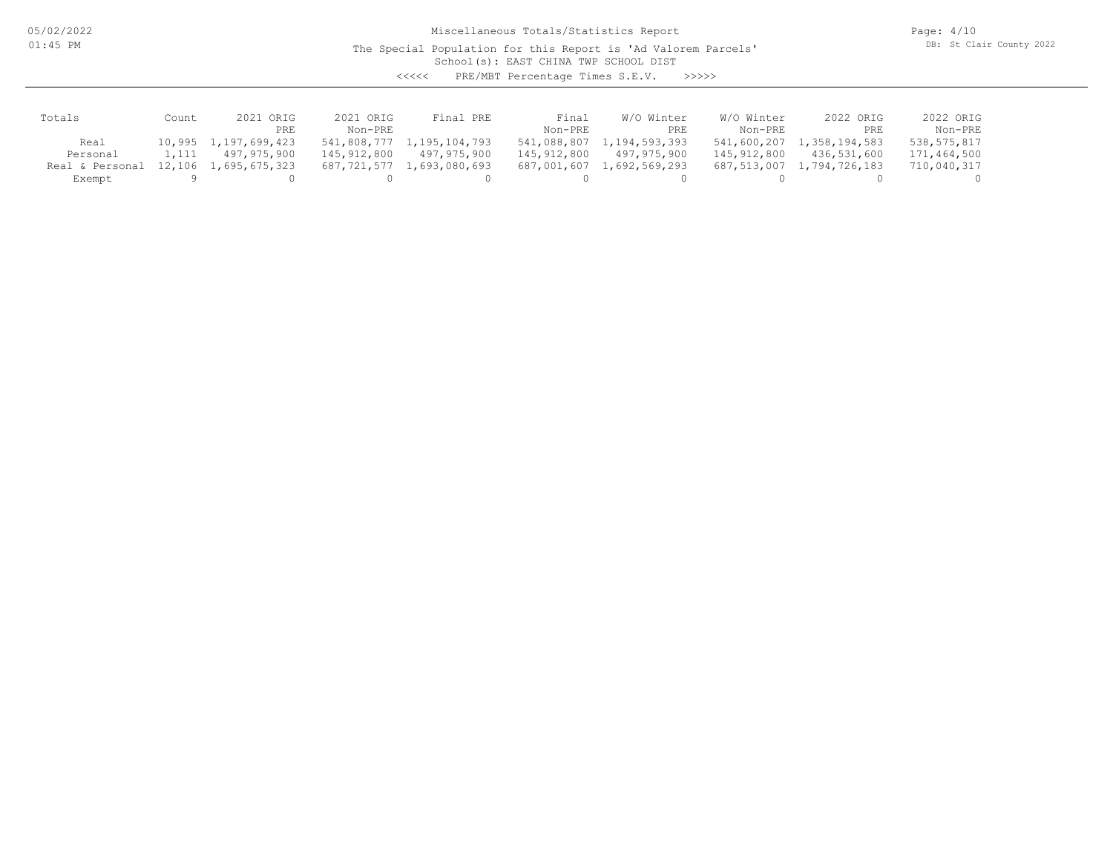05/02/2022 01:45 PM

Miscellaneous Totals/Statistics Report

The Special Population for this Report is 'Ad Valorem Parcels'

Page: 4/10 DB: St Clair County 2022

School(s): EAST CHINA TWP SCHOOL DIST

<<<<< PRE/MBT Percentage Times S.E.V. >>>>>

| Totals          | Count | 2021 ORIG            | 2021 ORIG   | Final PRE                 | Final       | W/O Winter    | W/O Winter  | 2022 ORIG     | 2022 ORIG   |
|-----------------|-------|----------------------|-------------|---------------------------|-------------|---------------|-------------|---------------|-------------|
|                 |       | PRE                  | Non-PRE     |                           | Non-PRE     | PRE           | Non-PRE     | PRE           | Non-PRE     |
| Real            |       | 10,995 1,197,699,423 |             | 541,808,777 1,195,104,793 | 541,088,807 | 1,194,593,393 | 541,600,207 | 1,358,194,583 | 538,575,817 |
| Personal        | 1,111 | 497,975,900          | 145,912,800 | 497,975,900               | 145,912,800 | 497,975,900   | 145,912,800 | 436,531,600   | 171,464,500 |
| Real & Personal |       | 12,106 1,695,675,323 |             | 687,721,577 1,693,080,693 | 687,001,607 | 1,692,569,293 | 687,513,007 | 1,794,726,183 | 710,040,317 |
| Exempt          |       |                      |             |                           |             |               |             |               |             |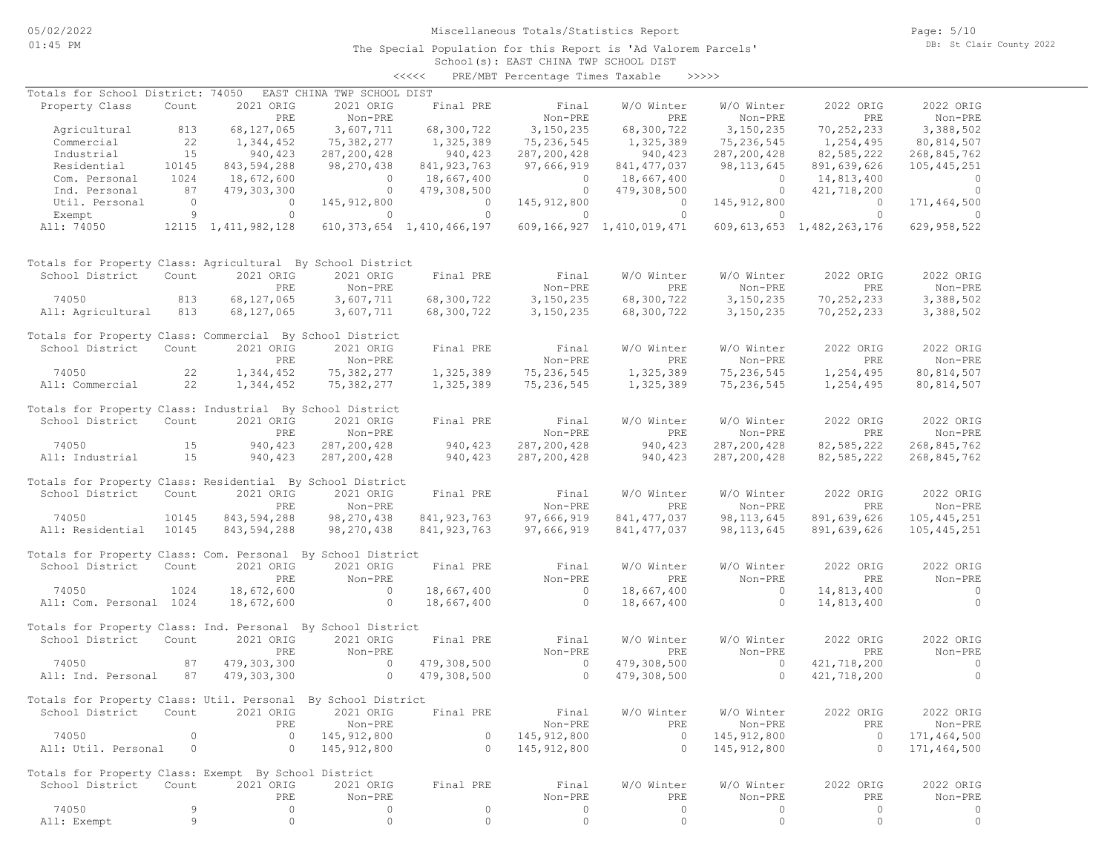## Miscellaneous Totals/Statistics Report

School(s): EAST CHINA TWP SCHOOL DIST <<<<< PRE/MBT Percentage Times Taxable >>>>>

| Totals for School District: 74050                            |          |                        | EAST CHINA TWP SCHOOL DIST |                                |                |                           |               |                                |                          |
|--------------------------------------------------------------|----------|------------------------|----------------------------|--------------------------------|----------------|---------------------------|---------------|--------------------------------|--------------------------|
| Property Class                                               | Count    | 2021 ORIG              | 2021 ORIG                  | Final PRE                      | Final          | W/O Winter                | W/O Winter    | 2022 ORIG                      | 2022 ORIG                |
|                                                              |          | PRE                    | Non-PRE                    |                                | Non-PRE        | PRE                       | Non-PRE       | PRE                            | Non-PRE                  |
| Agricultural                                                 | 813      | 68,127,065             | 3,607,711                  | 68,300,722                     | 3,150,235      | 68,300,722                | 3,150,235     | 70,252,233                     | 3,388,502                |
| Commercial                                                   | 22       | 1,344,452              | 75,382,277                 | 1,325,389                      | 75,236,545     | 1,325,389                 | 75,236,545    | 1,254,495                      | 80,814,507               |
| Industrial                                                   | 15       | 940, 423               | 287, 200, 428              | 940,423                        | 287,200,428    | 940,423                   | 287, 200, 428 | 82,585,222                     | 268,845,762              |
| Residential                                                  | 10145    | 843,594,288            | 98,270,438                 | 841, 923, 763                  | 97,666,919     | 841, 477, 037             | 98, 113, 645  | 891,639,626                    | 105, 445, 251            |
| Com. Personal                                                | 1024     | 18,672,600             | $\overline{0}$             | 18,667,400                     | $\overline{0}$ | 18,667,400                | $\circ$       | 14,813,400                     | $\circ$                  |
| Ind. Personal                                                | 87       | 479,303,300            | $\overline{0}$             | 479,308,500                    | $\circ$        | 479,308,500               | $\circ$       | 421,718,200                    | $\circ$                  |
| Util. Personal                                               | $\Omega$ | $\circ$                |                            | $\overline{0}$                 | 145, 912, 800  | $\circ$                   | 145, 912, 800 | $\Omega$                       | 171,464,500              |
|                                                              | 9        | $\circ$                | 145, 912, 800<br>$\circ$   | $\circ$                        | $\circ$        | $\Omega$                  | $\circ$       | $\Omega$                       | $\Omega$                 |
| Exempt<br>All: 74050                                         |          |                        |                            | 610, 373, 654 1, 410, 466, 197 |                | 609,166,927 1,410,019,471 |               |                                |                          |
|                                                              |          | 12115 1, 411, 982, 128 |                            |                                |                |                           |               | 609, 613, 653 1, 482, 263, 176 | 629, 958, 522            |
| Totals for Property Class: Agricultural By School District   |          |                        |                            |                                |                |                           |               |                                |                          |
| School District                                              | Count    | 2021 ORIG              | 2021 ORIG                  | Final PRE                      | Final          | W/O Winter                | W/O Winter    | 2022 ORIG                      | 2022 ORIG                |
|                                                              |          | PRE                    | Non-PRE                    |                                | Non-PRE        | PRE                       | Non-PRE       | PRE                            | Non-PRE                  |
| 74050                                                        | 813      | 68,127,065             | 3,607,711                  | 68,300,722                     | 3,150,235      | 68,300,722                | 3,150,235     | 70,252,233                     | 3,388,502                |
| All: Agricultural                                            | 813      | 68,127,065             | 3,607,711                  | 68,300,722                     | 3,150,235      | 68,300,722                | 3,150,235     | 70,252,233                     | 3,388,502                |
| Totals for Property Class: Commercial By School District     |          |                        |                            |                                |                |                           |               |                                |                          |
| School District                                              | Count    | 2021 ORIG              | 2021 ORIG                  | Final PRE                      | Final          | W/O Winter                | W/O Winter    | 2022 ORIG                      | 2022 ORIG                |
|                                                              |          | PRE                    | Non-PRE                    |                                | Non-PRE        | PRE                       | Non-PRE       | PRE                            | Non-PRE                  |
| 74050                                                        | 22       | 1,344,452              | 75,382,277                 | 1,325,389                      | 75,236,545     | 1,325,389                 | 75,236,545    | 1,254,495                      | 80,814,507               |
| All: Commercial                                              | 22       | 1,344,452              | 75,382,277                 | 1,325,389                      | 75,236,545     | 1,325,389                 | 75,236,545    | 1,254,495                      | 80, 814, 507             |
| Totals for Property Class: Industrial By School District     |          |                        |                            |                                |                |                           |               |                                |                          |
| School District                                              | Count    | 2021 ORIG              | 2021 ORIG                  | Final PRE                      | Final          | W/O Winter                | W/O Winter    | 2022 ORIG                      | 2022 ORIG                |
|                                                              |          | PRE                    | Non-PRE                    |                                | Non-PRE        | PRE                       | Non-PRE       | PRE                            | Non-PRE                  |
|                                                              |          |                        |                            |                                |                |                           |               |                                |                          |
| 74050                                                        | 15       | 940, 423               | 287, 200, 428              | 940,423                        | 287, 200, 428  | 940, 423                  | 287, 200, 428 | 82,585,222                     | 268,845,762              |
| All: Industrial                                              | 15       | 940, 423               | 287, 200, 428              | 940,423                        | 287,200,428    | 940,423                   | 287, 200, 428 | 82,585,222                     | 268,845,762              |
| Totals for Property Class: Residential By School District    |          |                        |                            |                                |                |                           |               |                                |                          |
| School District                                              | Count    | 2021 ORIG              | 2021 ORIG                  | Final PRE                      | Final          | W/O Winter                | W/O Winter    | 2022 ORIG                      | 2022 ORIG                |
|                                                              |          | PRE                    | Non-PRE                    |                                | Non-PRE        | PRE                       | Non-PRE       | PRE                            | Non-PRE                  |
| 74050                                                        | 10145    | 843,594,288            | 98,270,438                 | 841, 923, 763                  | 97,666,919     | 841, 477, 037             | 98, 113, 645  | 891,639,626                    | 105, 445, 251            |
| All: Residential                                             | 10145    | 843,594,288            | 98,270,438                 | 841, 923, 763                  | 97,666,919     | 841, 477, 037             | 98, 113, 645  | 891,639,626                    | 105, 445, 251            |
|                                                              |          |                        |                            |                                |                |                           |               |                                |                          |
| Totals for Property Class: Com. Personal By School District  |          |                        |                            |                                |                |                           |               |                                |                          |
| School District                                              | Count    | 2021 ORIG              | 2021 ORIG                  | Final PRE                      | Final          | W/O Winter                | W/O Winter    | 2022 ORIG                      | 2022 ORIG                |
|                                                              |          | PRE                    | Non-PRE                    |                                | Non-PRE        | PRE                       | Non-PRE       | PRE                            | Non-PRE                  |
| 74050                                                        | 1024     | 18,672,600             | $\circ$                    | 18,667,400                     | $\circ$        | 18,667,400                | $\circ$       | 14,813,400                     | $\overline{\phantom{0}}$ |
| All: Com. Personal 1024                                      |          | 18,672,600             | $\circ$                    | 18,667,400                     | $\circ$        | 18,667,400                | $\circ$       | 14,813,400                     | $\circ$                  |
|                                                              |          |                        |                            |                                |                |                           |               |                                |                          |
| Totals for Property Class: Ind. Personal By School District  |          |                        |                            |                                |                |                           |               |                                |                          |
| School District                                              | Count    | 2021 ORIG              | 2021 ORIG                  | Final PRE                      | Final          | W/O Winter                | W/O Winter    | 2022 ORIG                      | 2022 ORIG                |
|                                                              |          | PRE                    | Non-PRE                    |                                | Non-PRE        | PRE                       | Non-PRE       | PRE                            | Non-PRE                  |
| 74050                                                        | 87       | 479,303,300            | $\sim$ 0                   | 479,308,500                    | $\circ$        | 479,308,500               | $\circ$       | 421,718,200                    | $\circ$                  |
| All: Ind. Personal                                           | 87       | 479,303,300            | $\overline{0}$             | 479,308,500                    | $\circ$        | 479,308,500               | $\circ$       | 421,718,200                    | $\circ$                  |
|                                                              |          |                        |                            |                                |                |                           |               |                                |                          |
| Totals for Property Class: Util. Personal By School District |          |                        |                            |                                |                |                           |               |                                |                          |
| School District Count 2021 ORIG 2021 ORIG                    |          |                        |                            | Final PRE                      | Final          | W/O Winter                | W/O Winter    | 2022 ORIG                      | 2022 ORIG                |
|                                                              |          | PRE                    | Non-PRE                    |                                | Non-PRE        | PRE                       | Non-PRE       | PRE                            | Non-PRE                  |
| 74050                                                        | 0        | 0                      | 145, 912, 800              | 0                              | 145, 912, 800  | $\circ$                   | 145, 912, 800 | $\circ$                        | 171,464,500              |
| All: Util. Personal                                          | 0        | 0                      | 145, 912, 800              | $\circ$                        | 145, 912, 800  | $\circ$                   | 145, 912, 800 | $\circ$                        | 171,464,500              |
|                                                              |          |                        |                            |                                |                |                           |               |                                |                          |
| Totals for Property Class: Exempt By School District         |          |                        |                            |                                |                |                           |               |                                |                          |
| School District                                              | Count    | 2021 ORIG              | 2021 ORIG                  | Final PRE                      | Final          | W/O Winter                | W/O Winter    | 2022 ORIG                      | 2022 ORIG                |
|                                                              |          | PRE                    | Non-PRE                    |                                | Non-PRE        | PRE                       | Non-PRE       | PRE                            | Non-PRE                  |
| 74050                                                        | 9        | 0                      | 0                          | $\mathbb O$                    | 0              | $\circ$                   | 0             | $\circ$                        | 0                        |
| All: Exempt                                                  | 9        | $\mathbb O$            | $\mathbb O$                | $\mathbb O$                    | $\circ$        | $\circ$                   | $\circ$       | $\circ$                        | $\circ$                  |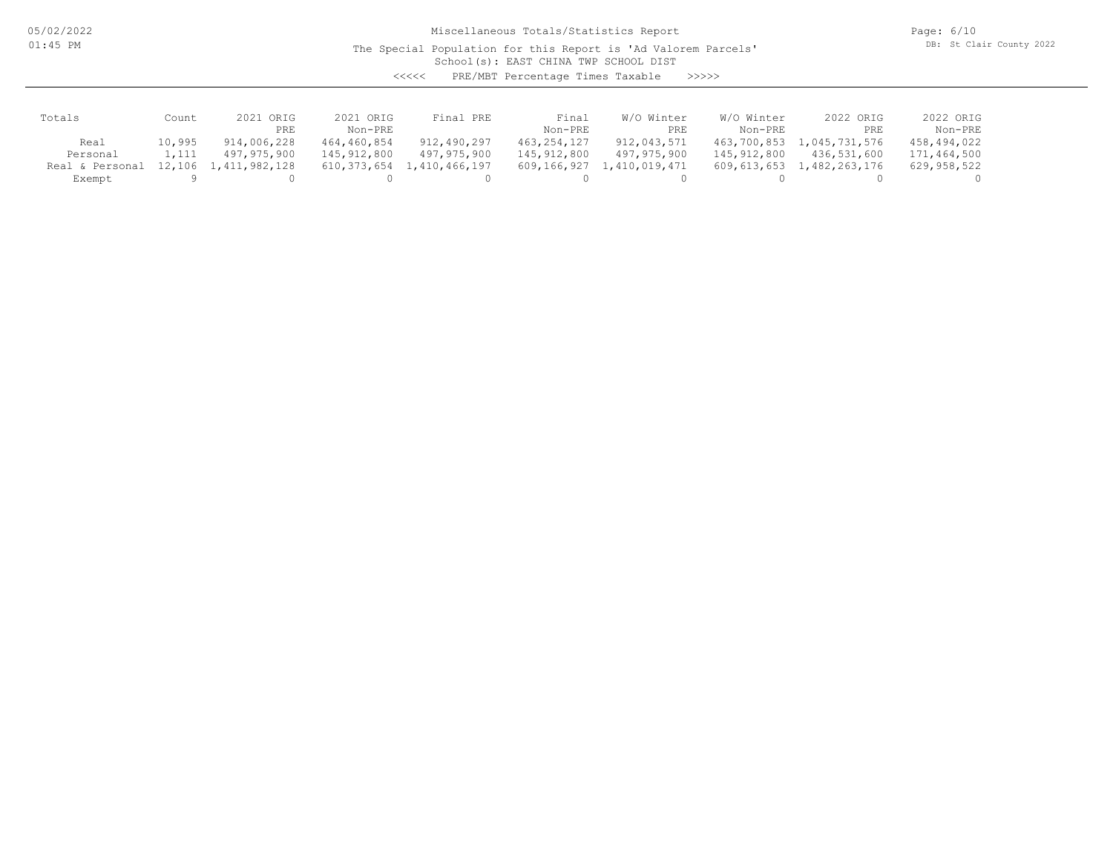05/02/2022 01:45 PM

Miscellaneous Totals/Statistics Report

The Special Population for this Report is 'Ad Valorem Parcels'

Page: 6/10 DB: St Clair County 2022

School(s): EAST CHINA TWP SCHOOL DIST

<<<<< PRE/MBT Percentage Times Taxable >>>>>

| Totals          | Count  | 2.021<br>ORIG | 2021 ORIG   | Final PRE                      | Final       | Winter<br>W/O | W/O Winter  | 2022 ORIG     | 2022 ORIG   |
|-----------------|--------|---------------|-------------|--------------------------------|-------------|---------------|-------------|---------------|-------------|
|                 |        | PRE           | Non-PRE     |                                | Non-PRE     | PRE           | Non-PRE     | PRE           | Non-PRE     |
| Real            | 10,995 | 914,006,228   | 464,460,854 | 912,490,297                    | 463,254,127 | 912,043,571   | 463,700,853 | 1,045,731,576 | 458,494,022 |
| Personal        | 1,111  | 497,975,900   | 145,912,800 | 497,975,900                    | 145,912,800 | 497,975,900   | 145,912,800 | 436,531,600   | 171,464,500 |
| Real & Personal | 12,106 | 1,411,982,128 |             | 610, 373, 654 1, 410, 466, 197 | 609,166,927 | 1,410,019,471 | 609,613,653 | 1,482,263,176 | 629,958,522 |
| Exempt          |        |               |             |                                |             |               |             |               |             |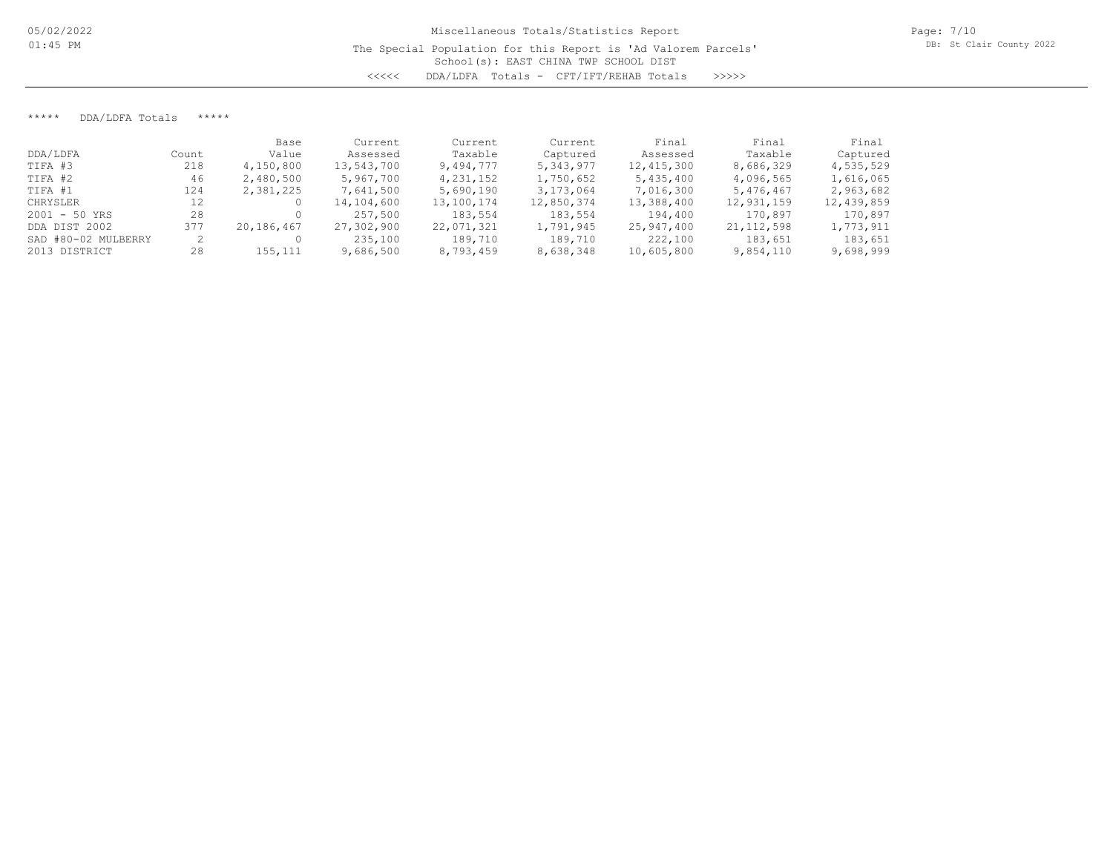\*\*\*\*\* DDA/LDFA Totals \*\*\*\*\*

|                     |       | Base       | Current    | Current     | Current    | Final        | Final        | Final      |
|---------------------|-------|------------|------------|-------------|------------|--------------|--------------|------------|
| DDA/LDFA            | Count | Value      | Assessed   | Taxable     | Captured   | Assessed     | Taxable      | Captured   |
| TIFA #3             | 218   | 4,150,800  | 13,543,700 | 9,494,777   | 5,343,977  | 12, 415, 300 | 8,686,329    | 4,535,529  |
| TIFA #2             | 46    | 2,480,500  | 5,967,700  | 4, 231, 152 | 1,750,652  | 5,435,400    | 4,096,565    | 1,616,065  |
| TIFA #1             | 124   | 2,381,225  | 7,641,500  | 5,690,190   | 3,173,064  | 7,016,300    | 5,476,467    | 2,963,682  |
| CHRYSLER            | 12    |            | 14,104,600 | 13,100,174  | 12,850,374 | 13,388,400   | 12,931,159   | 12,439,859 |
| $2001 - 50$ YRS     | 28    |            | 257,500    | 183,554     | 183,554    | 194,400      | 170,897      | 170,897    |
| DDA DIST 2002       | 377   | 20,186,467 | 27,302,900 | 22,071,321  | 1,791,945  | 25,947,400   | 21, 112, 598 | 1,773,911  |
| SAD #80-02 MULBERRY |       |            | 235,100    | 189,710     | 189,710    | 222,100      | 183,651      | 183,651    |
| 2013 DISTRICT       | 28    | 155,111    | 9,686,500  | 8,793,459   | 8,638,348  | 10,605,800   | 9,854,110    | 9,698,999  |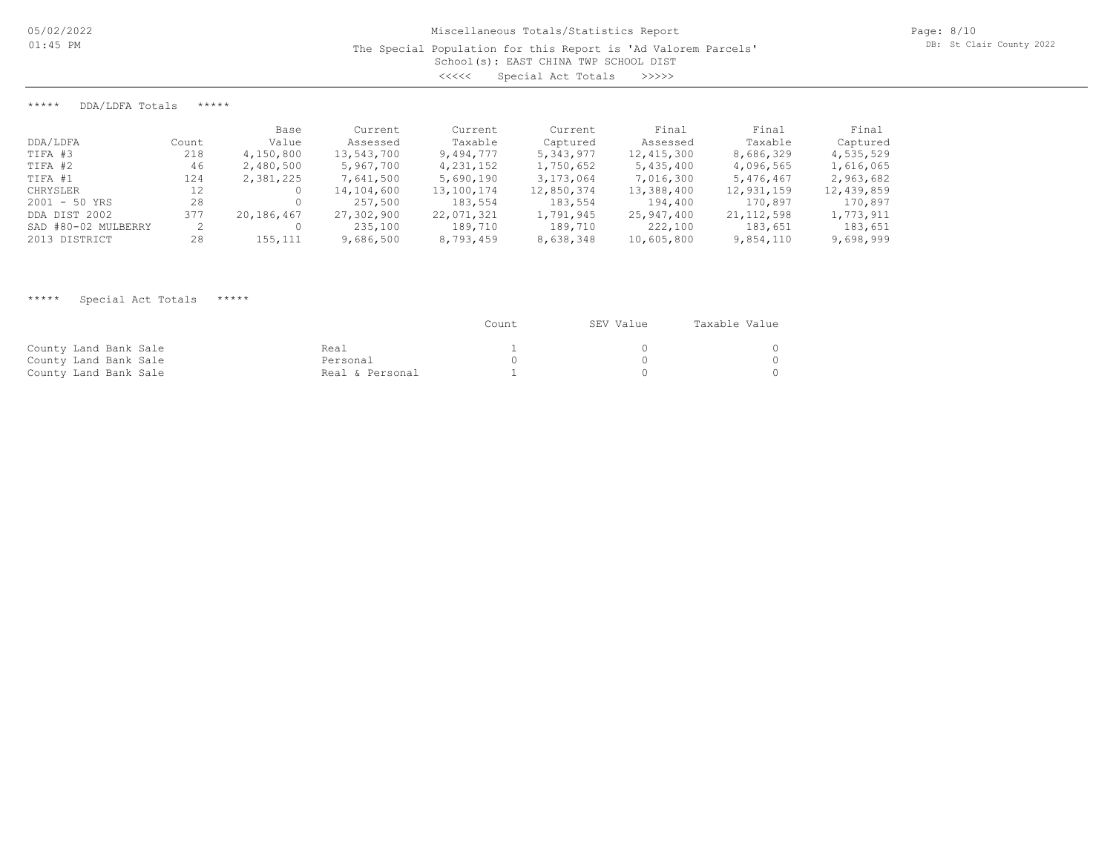\*\*\*\*\* DDA/LDFA Totals \*\*\*\*\*

|                     |       | Base       | Current    | Current    | Current    | Final      | Final        | Final      |
|---------------------|-------|------------|------------|------------|------------|------------|--------------|------------|
| DDA/LDFA            | Count | Value      | Assessed   | Taxable    | Captured   | Assessed   | Taxable      | Captured   |
| TIFA #3             | 218   | 4,150,800  | 13,543,700 | 9,494,777  | 5,343,977  | 12,415,300 | 8,686,329    | 4,535,529  |
| TIFA #2             | 46    | 2,480,500  | 5,967,700  | 4,231,152  | 1,750,652  | 5,435,400  | 4,096,565    | 1,616,065  |
| TIFA #1             | 124   | 2,381,225  | 7,641,500  | 5,690,190  | 3,173,064  | 7,016,300  | 5,476,467    | 2,963,682  |
| CHRYSLER            | 12    |            | 14,104,600 | 13,100,174 | 12,850,374 | 13,388,400 | 12,931,159   | 12,439,859 |
| $2001 - 50$ YRS     | 28    |            | 257,500    | 183,554    | 183,554    | 194,400    | 170,897      | 170,897    |
| DDA DIST 2002       | 377   | 20,186,467 | 27,302,900 | 22,071,321 | 1,791,945  | 25,947,400 | 21, 112, 598 | 1,773,911  |
| SAD #80-02 MULBERRY |       |            | 235,100    | 189,710    | 189,710    | 222,100    | 183,651      | 183,651    |
| 2013 DISTRICT       | 28    | 155,111    | 9,686,500  | 8,793,459  | 8,638,348  | 10,605,800 | 9,854,110    | 9,698,999  |

## \*\*\*\*\* Special Act Totals \*\*\*\*\*

|                       |                 | Count | SEV Value | Taxable Value |
|-----------------------|-----------------|-------|-----------|---------------|
| County Land Bank Sale | Real            |       |           |               |
| County Land Bank Sale | Personal        |       |           |               |
| County Land Bank Sale | Real & Personal |       |           |               |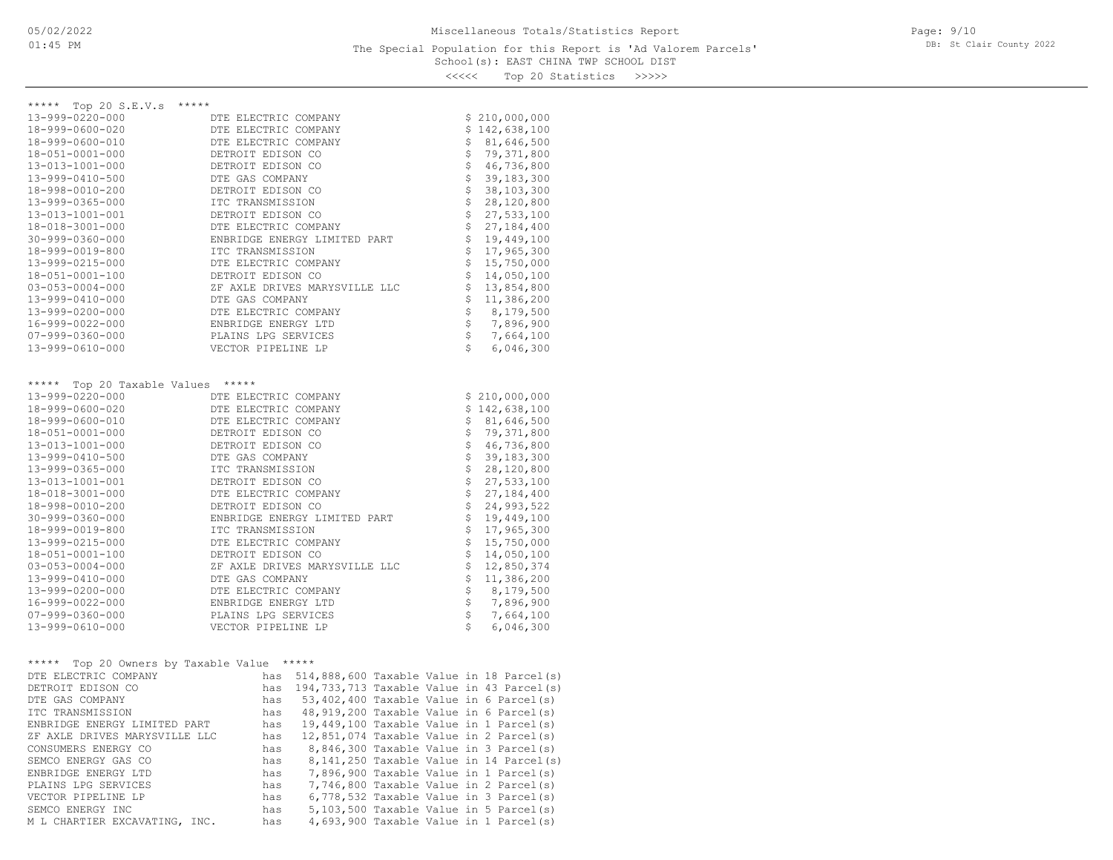### School(s): EAST CHINA TWP SCHOOL DIST The Special Population for this Report is 'Ad Valorem Parcels'

Page: 9/10 DB: St Clair County 2022

<<<<< Top 20 Statistics >>>>>

| ***** Top 20 S.E.V.s<br>*****              |                                                |                                |               |
|--------------------------------------------|------------------------------------------------|--------------------------------|---------------|
| 13-999-0220-000                            | DTE ELECTRIC COMPANY                           |                                | \$210,000,000 |
| 18-999-0600-020                            | DTE ELECTRIC COMPANY                           |                                | \$142,638,100 |
| 18-999-0600-010                            | DTE ELECTRIC COMPANY                           | \$                             | 81,646,500    |
| 18-051-0001-000                            | DETROIT EDISON CO                              | \$                             | 79,371,800    |
| 13-013-1001-000                            | DETROIT EDISON CO                              | \$                             | 46,736,800    |
| 13-999-0410-500                            | DTE GAS COMPANY                                | \$                             | 39, 183, 300  |
| 18-998-0010-200                            | DETROIT EDISON CO                              | \$                             | 38,103,300    |
| 13-999-0365-000                            | ITC TRANSMISSION                               | \$                             | 28,120,800    |
| 13-013-1001-001                            | DETROIT EDISON CO                              | \$                             | 27,533,100    |
| 18-018-3001-000                            | DTE ELECTRIC COMPANY                           | \$                             | 27,184,400    |
| $30 - 999 - 0360 - 000$                    | ENBRIDGE ENERGY LIMITED PART                   | \$                             | 19,449,100    |
| 18-999-0019-800                            | ITC TRANSMISSION                               | \$                             | 17,965,300    |
| 13-999-0215-000                            | DTE ELECTRIC COMPANY                           | \$                             | 15,750,000    |
| 18-051-0001-100                            | DETROIT EDISON CO                              | \$                             | 14,050,100    |
| $03 - 053 - 0004 - 000$                    | ZF AXLE DRIVES MARYSVILLE LLC                  | \$                             | 13,854,800    |
| 13-999-0410-000                            | DTE GAS COMPANY                                | \$                             | 11,386,200    |
| 13-999-0200-000                            | DTE ELECTRIC COMPANY                           |                                | 8,179,500     |
| 16-999-0022-000                            | ENBRIDGE ENERGY LTD                            | \$                             | 7,896,900     |
| $07 - 999 - 0360 - 000$                    | PLAINS LPG SERVICES                            | \$                             | 7,664,100     |
| 13-999-0610-000                            | VECTOR PIPELINE LP                             | Š.                             | 6,046,300     |
|                                            |                                                |                                |               |
|                                            |                                                |                                |               |
| Top 20 Taxable Values *****<br>*****       |                                                |                                |               |
| 13-999-0220-000                            | DTE ELECTRIC COMPANY                           |                                | \$210,000,000 |
| 18-999-0600-020                            | DTE ELECTRIC COMPANY                           |                                | \$142,638,100 |
| 18-999-0600-010                            | DTE ELECTRIC COMPANY                           | \$                             | 81,646,500    |
| 18-051-0001-000                            | DETROIT EDISON CO                              | \$                             | 79,371,800    |
| 13-013-1001-000                            | DETROIT EDISON CO                              | $\boldsymbol{\dot{\varsigma}}$ | 46,736,800    |
| 13-999-0410-500                            | DTE GAS COMPANY                                | \$                             | 39,183,300    |
| 13-999-0365-000                            | ITC TRANSMISSION                               | \$                             | 28,120,800    |
| 13-013-1001-001                            | DETROIT EDISON CO                              | \$                             | 27,533,100    |
| 18-018-3001-000                            | DTE ELECTRIC COMPANY                           | \$                             | 27,184,400    |
| 18-998-0010-200                            | DETROIT EDISON CO                              | \$                             | 24,993,522    |
| $30 - 999 - 0360 - 000$                    | ENBRIDGE ENERGY LIMITED PART                   | \$                             | 19,449,100    |
| 18-999-0019-800                            | ITC TRANSMISSION                               | \$                             | 17,965,300    |
| 13-999-0215-000                            | DTE ELECTRIC COMPANY                           | \$                             | 15,750,000    |
| 18-051-0001-100                            | DETROIT EDISON CO                              | \$                             | 14,050,100    |
| $03 - 053 - 0004 - 000$                    | ZF AXLE DRIVES MARYSVILLE LLC                  | \$                             | 12,850,374    |
| 13-999-0410-000                            | DTE GAS COMPANY                                | \$                             | 11,386,200    |
| 13-999-0200-000                            | DTE ELECTRIC COMPANY                           | \$                             | 8,179,500     |
| 16-999-0022-000                            | ENBRIDGE ENERGY LTD                            | \$                             | 7,896,900     |
| $07 - 999 - 0360 - 000$                    | PLAINS LPG SERVICES                            | \$                             | 7,664,100     |
| 13-999-0610-000                            | VECTOR PIPELINE LP                             | Ś                              | 6,046,300     |
|                                            |                                                |                                |               |
|                                            |                                                |                                |               |
| ***** Top 20 Owners by Taxable Value ***** |                                                |                                |               |
| DTE ELECTRIC COMPANY                       | has 514,888,600 Taxable Value in 18 Parcel(s)  |                                |               |
| DETROIT EDISON CO                          | has 194,733,713 Taxable Value in 43 Parcel(s)  |                                |               |
| DTE GAS COMPANY                            | has 53,402,400 Taxable Value in 6 Parcel(s)    |                                |               |
| ITC TRANSMISSION                           | has 48,919,200 Taxable Value in 6 Parcel(s)    |                                |               |
| ENBRIDGE ENERGY LIMITED PART               | 19,449,100 Taxable Value in 1 Parcel(s)<br>has |                                |               |

M L CHARTIER EXCAVATING, INC. has 4,693,900 Taxable Value in 1 Parcel(s) SEMCO ENERGY INC has 5,103,500 Taxable Value in 5 Parcel(s) VECTOR PIPELINE LP has 6,778,532 Taxable Value in 3 Parcel(s) PLAINS LPG SERVICES has 7,746,800 Taxable Value in 2 Parcel(s) ENBRIDGE ENERGY LTD has 7,896,900 Taxable Value in 1 Parcel(s) SEMCO ENERGY GAS CO has 8,141,250 Taxable Value in 14 Parcel(s) CONSUMERS ENERGY CO has  $8,846,300$  Taxable Value in 3 Parcel(s)<br>SEMCO ENERGY GAS CO has  $8,141,250$  Taxable Value in 14 Parcel(s) ZF AXLE DRIVES MARYSVILLE LLC has 12,851,074 Taxable Value in 2 Parcel(s)